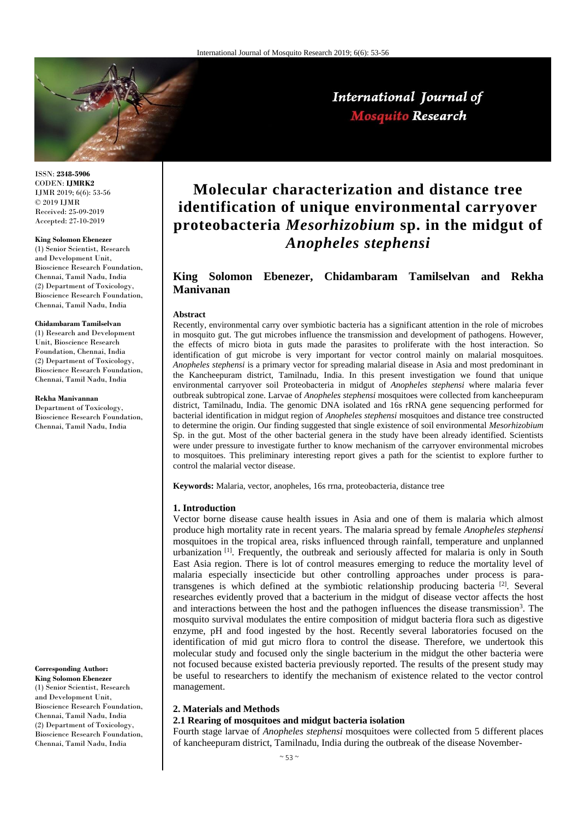

International Journal of **Mosquito Research** 

ISSN: **2348-5906** CODEN: **IJMRK2** IJMR 2019; 6(6): 53-56 © 2019 IJMR Received: 25-09-2019 Accepted: 27-10-2019

#### **King Solomon Ebenezer**

(1) Senior Scientist, Research and Development Unit, Bioscience Research Foundation, Chennai, Tamil Nadu, India (2) Department of Toxicology, Bioscience Research Foundation, Chennai, Tamil Nadu, India

#### **Chidambaram Tamilselvan**

(1) Research and Development Unit, Bioscience Research Foundation, Chennai, India (2) Department of Toxicology, Bioscience Research Foundation, Chennai, Tamil Nadu, India

**Rekha Manivannan**

Department of Toxicology. Bioscience Research Foundation, Chennai, Tamil Nadu, India

**Corresponding Author:**

**King Solomon Ebenezer** (1) Senior Scientist, Research and Development Unit, Bioscience Research Foundation, Chennai, Tamil Nadu, India (2) Department of Toxicology, Bioscience Research Foundation, Chennai, Tamil Nadu, India

# **Molecular characterization and distance tree identification of unique environmental carryover proteobacteria** *Mesorhizobium* **sp. in the midgut of**  *Anopheles stephensi*

# **King Solomon Ebenezer, Chidambaram Tamilselvan and Rekha Manivanan**

#### **Abstract**

Recently, environmental carry over symbiotic bacteria has a significant attention in the role of microbes in mosquito gut. The gut microbes influence the transmission and development of pathogens. However, the effects of micro biota in guts made the parasites to proliferate with the host interaction. So identification of gut microbe is very important for vector control mainly on malarial mosquitoes. *Anopheles stephensi* is a primary vector for spreading malarial disease in Asia and most predominant in the Kancheepuram district, Tamilnadu, India. In this present investigation we found that unique environmental carryover soil Proteobacteria in midgut of *Anopheles stephensi* where malaria fever outbreak subtropical zone. Larvae of *Anopheles stephensi* mosquitoes were collected from kancheepuram district, Tamilnadu, India. The genomic DNA isolated and 16s rRNA gene sequencing performed for bacterial identification in midgut region of *Anopheles stephensi* mosquitoes and distance tree constructed to determine the origin. Our finding suggested that single existence of soil environmental *Mesorhizobium*  Sp. in the gut. Most of the other bacterial genera in the study have been already identified. Scientists were under pressure to investigate further to know mechanism of the carryover environmental microbes to mosquitoes. This preliminary interesting report gives a path for the scientist to explore further to control the malarial vector disease.

**Keywords:** Malaria, vector, anopheles, 16s rrna, proteobacteria, distance tree

#### **1. Introduction**

Vector borne disease cause health issues in Asia and one of them is malaria which almost produce high mortality rate in recent years. The malaria spread by female *Anopheles stephensi* mosquitoes in the tropical area, risks influenced through rainfall, temperature and unplanned urbanization <sup>[1]</sup>. Frequently, the outbreak and seriously affected for malaria is only in South East Asia region. There is lot of control measures emerging to reduce the mortality level of malaria especially insecticide but other controlling approaches under process is paratransgenes is which defined at the symbiotic relationship producing bacteria<sup>[2]</sup>. Several researches evidently proved that a bacterium in the midgut of disease vector affects the host and interactions between the host and the pathogen influences the disease transmission<sup>3</sup>. The mosquito survival modulates the entire composition of midgut bacteria flora such as digestive enzyme, pH and food ingested by the host. Recently several laboratories focused on the identification of mid gut micro flora to control the disease. Therefore, we undertook this molecular study and focused only the single bacterium in the midgut the other bacteria were not focused because existed bacteria previously reported. The results of the present study may be useful to researchers to identify the mechanism of existence related to the vector control management.

#### **2. Materials and Methods**

#### **2.1 Rearing of mosquitoes and midgut bacteria isolation**

Fourth stage larvae of *Anopheles stephensi* mosquitoes were collected from 5 different places of kancheepuram district, Tamilnadu, India during the outbreak of the disease November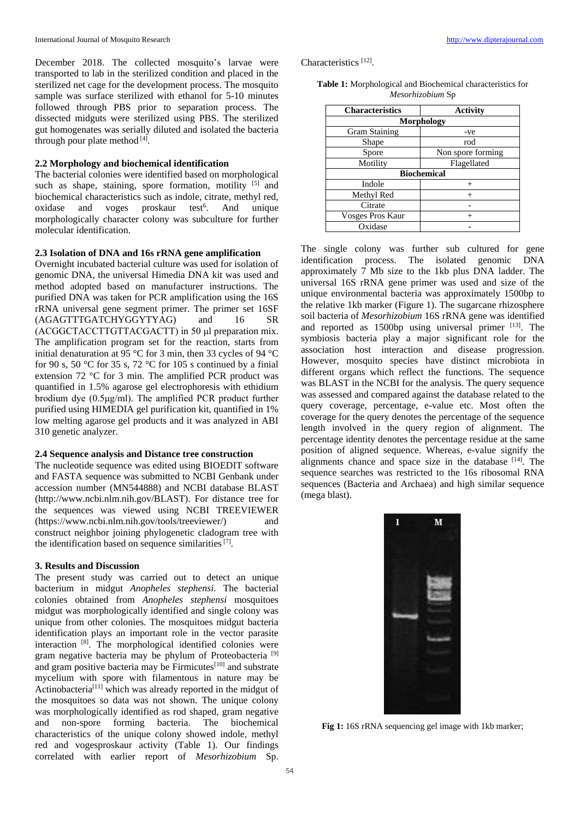December 2018. The collected mosquito's larvae were transported to lab in the sterilized condition and placed in the sterilized net cage for the development process. The mosquito sample was surface sterilized with ethanol for 5-10 minutes followed through PBS prior to separation process. The dissected midguts were sterilized using PBS. The sterilized gut homogenates was serially diluted and isolated the bacteria through pour plate method [4].

#### **2.2 Morphology and biochemical identification**

The bacterial colonies were identified based on morphological such as shape, staining, spore formation, motility  $[5]$  and biochemical characteristics such as indole, citrate, methyl red, oxidase and voges proskaur test<sup>6</sup>. And unique morphologically character colony was subculture for further molecular identification.

#### **2.3 Isolation of DNA and 16s rRNA gene amplification**

Overnight incubated bacterial culture was used for isolation of genomic DNA, the universal Himedia DNA kit was used and method adopted based on manufacturer instructions. The purified DNA was taken for PCR amplification using the 16S rRNA universal gene segment primer. The primer set 16SF (AGAGTTTGATCHYGGYTYAG) and 16 SR (ACGGCTACCTTGTTACGACTT) in 50 μl preparation mix. The amplification program set for the reaction, starts from initial denaturation at 95 °C for 3 min, then 33 cycles of 94 °C for 90 s, 50 °C for 35 s, 72 °C for 105 s continued by a finial extension 72 °C for 3 min. The amplified PCR product was quantified in 1.5% agarose gel electrophoresis with ethidium brodium dye (0.5μg/ml). The amplified PCR product further purified using HIMEDIA gel purification kit, quantified in 1% low melting agarose gel products and it was analyzed in ABI 310 genetic analyzer.

## **2.4 Sequence analysis and Distance tree construction**

The nucleotide sequence was edited using BIOEDIT software and FASTA sequence was submitted to NCBI Genbank under accession number (MN544888) and NCBI database BLAST (http://www.ncbi.nlm.nih.gov/BLAST). For distance tree for the sequences was viewed using NCBI TREEVIEWER (https://www.ncbi.nlm.nih.gov/tools/treeviewer/) and construct neighbor joining phylogenetic cladogram tree with the identification based on sequence similarities<sup>[7]</sup>.

# **3. Results and Discussion**

The present study was carried out to detect an unique bacterium in midgut *Anopheles stephensi.* The bacterial colonies obtained from *Anopheles stephensi* mosquitoes midgut was morphologically identified and single colony was unique from other colonies. The mosquitoes midgut bacteria identification plays an important role in the vector parasite interaction [8]. The morphological identified colonies were gram negative bacteria may be phylum of Proteobacteria [9] and gram positive bacteria may be Firmicutes $[10]$  and substrate mycelium with spore with filamentous in nature may be Actinobacteria<sup>[11]</sup> which was already reported in the midgut of the mosquitoes so data was not shown. The unique colony was morphologically identified as rod shaped, gram negative and non-spore forming bacteria. The biochemical characteristics of the unique colony showed indole, methyl red and vogesproskaur activity (Table 1). Our findings correlated with earlier report of *Mesorhizobium* Sp.

Characteristics<sup>[12]</sup>.

|                  | <b>Table 1:</b> Morphological and Biochemical characteristics for |  |
|------------------|-------------------------------------------------------------------|--|
| Mesorhizobium Sp |                                                                   |  |

| <b>Characteristics</b> | Activity          |  |
|------------------------|-------------------|--|
| <b>Morphology</b>      |                   |  |
| <b>Gram Staining</b>   | -ve               |  |
| Shape                  | rod               |  |
| Spore                  | Non spore forming |  |
| Motility               | Flagellated       |  |
| <b>Biochemical</b>     |                   |  |
| Indole                 |                   |  |
| Methyl Red             | $^{+}$            |  |
| Citrate                |                   |  |
| Vosges Pros Kaur       |                   |  |
| Oxidase                |                   |  |

The single colony was further sub cultured for gene identification process. The isolated genomic DNA approximately 7 Mb size to the 1kb plus DNA ladder. The universal 16S rRNA gene primer was used and size of the unique environmental bacteria was approximately 1500bp to the relative 1kb marker (Figure 1). The sugarcane rhizosphere soil bacteria of *Mesorhizobium* 16S rRNA gene was identified and reported as  $1500bp$  using universal primer  $[13]$ . The symbiosis bacteria play a major significant role for the association host interaction and disease progression. However, mosquito species have distinct microbiota in different organs which reflect the functions. The sequence was BLAST in the NCBI for the analysis. The query sequence was assessed and compared against the database related to the query coverage, percentage, e-value etc. Most often the coverage for the query denotes the percentage of the sequence length involved in the query region of alignment. The percentage identity denotes the percentage residue at the same position of aligned sequence. Whereas, e-value signify the alignments chance and space size in the database [14]. The sequence searches was restricted to the 16s ribosomal RNA sequences (Bacteria and Archaea) and high similar sequence (mega blast).



Fig 1: 16S rRNA sequencing gel image with 1kb marker;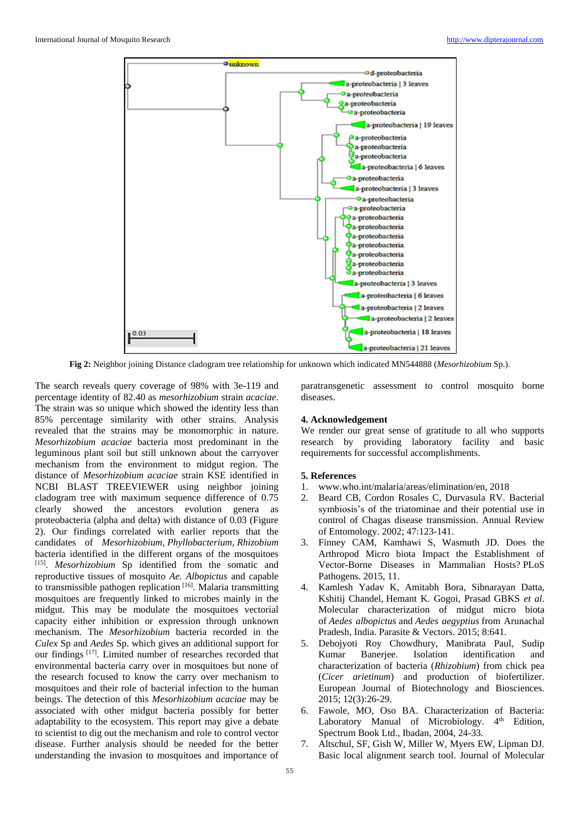

**Fig 2:** Neighbor joining Distance cladogram tree relationship for unknown which indicated MN544888 (*Mesorhizobium* Sp.).

The search reveals query coverage of 98% with 3e-119 and percentage identity of 82.40 as *mesorhizobium* strain *acaciae*. The strain was so unique which showed the identity less than 85% percentage similarity with other strains. Analysis revealed that the strains may be monomorphic in nature. *Mesorhizobium acaciae* bacteria most predominant in the leguminous plant soil but still unknown about the carryover mechanism from the environment to midgut region. The distance of *Mesorhizobium acaciae* strain KSE identified in NCBI BLAST TREEVIEWER using neighbor joining cladogram tree with maximum sequence difference of 0.75 clearly showed the ancestors evolution genera as proteobacteria (alpha and delta) with distance of 0.03 (Figure 2). Our findings correlated with earlier reports that the candidates of *Mesorhizobium*, *Phyllobacterium*, *Rhizobium* bacteria identified in the different organs of the mosquitoes [15] . *Mesorhizobium* Sp identified from the somatic and reproductive tissues of mosquito *Ae. Albopictus* and capable to transmissible pathogen replication [16]. Malaria transmitting mosquitoes are frequently linked to microbes mainly in the midgut. This may be modulate the mosquitoes vectorial capacity either inhibition or expression through unknown mechanism. The *Mesorhizobium* bacteria recorded in the *Culex* Sp and *Aedes* Sp. which gives an additional support for our findings [17]. Limited number of researches recorded that environmental bacteria carry over in mosquitoes but none of the research focused to know the carry over mechanism to mosquitoes and their role of bacterial infection to the human beings. The detection of this *Mesorhizobium acaciae* may be associated with other midgut bacteria possibly for better adaptability to the ecosystem. This report may give a debate to scientist to dig out the mechanism and role to control vector disease. Further analysis should be needed for the better understanding the invasion to mosquitoes and importance of

paratransgenetic assessment to control mosquito borne diseases.

#### **4. Acknowledgement**

We render our great sense of gratitude to all who supports research by providing laboratory facility and basic requirements for successful accomplishments.

# **5. References**

- 1. www.who.int/malaria/areas/elimination/en, 2018
- 2. Beard CB, Cordon Rosales C, Durvasula RV. Bacterial symbiosis's of the triatominae and their potential use in control of Chagas disease transmission. Annual Review of Entomology. 2002; 47:123-141.
- 3. Finney CAM, Kamhawi S, Wasmuth JD. Does the Arthropod Micro biota Impact the Establishment of Vector-Borne Diseases in Mammalian Hosts? PLoS Pathogens. 2015, 11.
- 4. Kamlesh Yadav K, Amitabh Bora, Sibnarayan Datta, Kshitij Chandel, Hemant K. Gogoi, Prasad GBKS *et al*. Molecular characterization of midgut micro biota of *Aedes albopictus* and *Aedes aegyptius* from Arunachal Pradesh, India. Parasite & Vectors. 2015; 8:641.
- 5. Debojyoti Roy Chowdhury, Manibrata Paul, Sudip Kumar Banerjee. Isolation identification and characterization of bacteria (*Rhizobium*) from chick pea (*Cicer arietinum*) and production of biofertilizer. European Journal of Biotechnology and Biosciences. 2015; 12(3):26-29.
- 6. Fawole, MO, Oso BA. Characterization of Bacteria: Laboratory Manual of Microbiology. 4<sup>th</sup> Edition, Spectrum Book Ltd., Ibadan, 2004, 24-33.
- 7. Altschul, SF, Gish W, Miller W, Myers EW, Lipman DJ. Basic local alignment search tool. Journal of Molecular